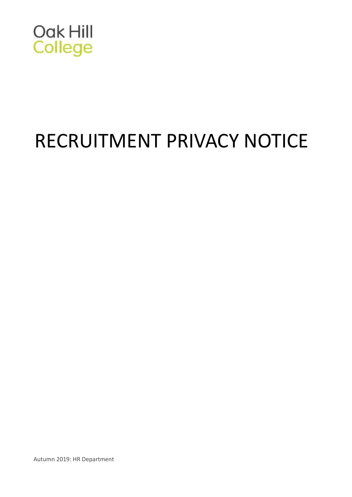

# RECRUITMENT PRIVACY NOTICE

Autumn 2019: HR Department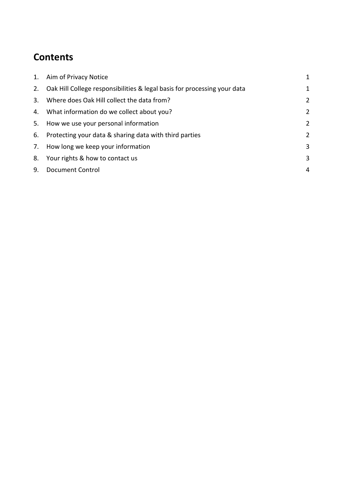# **Contents**

|    | 1. Aim of Privacy Notice                                                    | $\mathbf{1}$   |
|----|-----------------------------------------------------------------------------|----------------|
|    | 2. Oak Hill College responsibilities & legal basis for processing your data | $\mathbf{1}$   |
|    | 3. Where does Oak Hill collect the data from?                               | $\overline{2}$ |
|    | 4. What information do we collect about you?                                | $\overline{2}$ |
| 5. | How we use your personal information                                        | $\overline{2}$ |
|    | 6. Protecting your data & sharing data with third parties                   | $\overline{2}$ |
|    | 7. How long we keep your information                                        | 3              |
|    | 8. Your rights & how to contact us                                          | 3              |
| 9. | <b>Document Control</b>                                                     | 4              |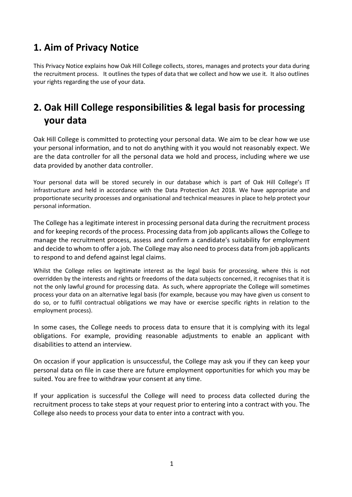# <span id="page-2-0"></span>**1. Aim of Privacy Notice**

This Privacy Notice explains how Oak Hill College collects, stores, manages and protects your data during the recruitment process. It outlines the types of data that we collect and how we use it. It also outlines your rights regarding the use of your data.

# <span id="page-2-1"></span>**2. Oak Hill College responsibilities & legal basis for processing your data**

Oak Hill College is committed to protecting your personal data. We aim to be clear how we use your personal information, and to not do anything with it you would not reasonably expect. We are the data controller for all the personal data we hold and process, including where we use data provided by another data controller.

Your personal data will be stored securely in our database which is part of Oak Hill College's IT infrastructure and held in accordance with the Data Protection Act 2018. We have appropriate and proportionate security processes and organisational and technical measures in place to help protect your personal information.

The College has a legitimate interest in processing personal data during the recruitment process and for keeping records of the process. Processing data from job applicants allows the College to manage the recruitment process, assess and confirm a candidate's suitability for employment and decide to whom to offer a job. The College may also need to process data from job applicants to respond to and defend against legal claims.

Whilst the College relies on legitimate interest as the legal basis for processing, where this is not overridden by the interests and rights or freedoms of the data subjects concerned, it recognises that it is not the only lawful ground for processing data. As such, where appropriate the College will sometimes process your data on an alternative legal basis (for example, because you may have given us consent to do so, or to fulfil contractual obligations we may have or exercise specific rights in relation to the employment process).

In some cases, the College needs to process data to ensure that it is complying with its legal obligations. For example, providing reasonable adjustments to enable an applicant with disabilities to attend an interview.

On occasion if your application is unsuccessful, the College may ask you if they can keep your personal data on file in case there are future employment opportunities for which you may be suited. You are free to withdraw your consent at any time.

If your application is successful the College will need to process data collected during the recruitment process to take steps at your request prior to entering into a contract with you. The College also needs to process your data to enter into a contract with you.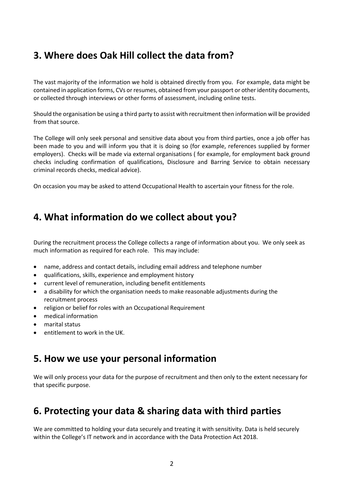# <span id="page-3-0"></span>**3. Where does Oak Hill collect the data from?**

The vast majority of the information we hold is obtained directly from you. For example, data might be contained in application forms, CVs or resumes, obtained from your passport or other identity documents, or collected through interviews or other forms of assessment, including online tests.

Should the organisation be using a third party to assist with recruitment then information will be provided from that source.

The College will only seek personal and sensitive data about you from third parties, once a job offer has been made to you and will inform you that it is doing so (for example, references supplied by former employers). Checks will be made via external organisations ( for example, for employment back ground checks including confirmation of qualifications, Disclosure and Barring Service to obtain necessary criminal records checks, medical advice).

On occasion you may be asked to attend Occupational Health to ascertain your fitness for the role.

## <span id="page-3-1"></span>**4. What information do we collect about you?**

During the recruitment process the College collects a range of information about you. We only seek as much information as required for each role. This may include:

- name, address and contact details, including email address and telephone number
- qualifications, skills, experience and employment history
- current level of remuneration, including benefit entitlements
- a disability for which the organisation needs to make reasonable adjustments during the recruitment process
- religion or belief for roles with an Occupational Requirement
- medical information
- marital status
- entitlement to work in the UK.

#### <span id="page-3-2"></span>**5. How we use your personal information**

We will only process your data for the purpose of recruitment and then only to the extent necessary for that specific purpose.

#### <span id="page-3-3"></span>**6. Protecting your data & sharing data with third parties**

We are committed to holding your data securely and treating it with sensitivity. Data is held securely within the College's IT network and in accordance with the Data Protection Act 2018.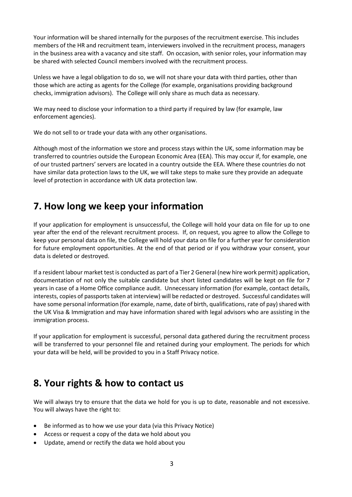Your information will be shared internally for the purposes of the recruitment exercise. This includes members of the HR and recruitment team, interviewers involved in the recruitment process, managers in the business area with a vacancy and site staff. On occasion, with senior roles, your information may be shared with selected Council members involved with the recruitment process.

Unless we have a legal obligation to do so, we will not share your data with third parties, other than those which are acting as agents for the College (for example, organisations providing background checks, immigration advisors). The College will only share as much data as necessary.

We may need to disclose your information to a third party if required by law (for example, law enforcement agencies).

We do not sell to or trade your data with any other organisations.

Although most of the information we store and process stays within the UK, some information may be transferred to countries outside the European Economic Area (EEA). This may occur if, for example, one of our trusted partners' servers are located in a country outside the EEA. Where these countries do not have similar data protection laws to the UK, we will take steps to make sure they provide an adequate level of protection in accordance with UK data protection law.

# <span id="page-4-0"></span>**7. How long we keep your information**

If your application for employment is unsuccessful, the College will hold your data on file for up to one year after the end of the relevant recruitment process. If, on request, you agree to allow the College to keep your personal data on file, the College will hold your data on file for a further year for consideration for future employment opportunities. At the end of that period or if you withdraw your consent, your data is deleted or destroyed.

If a resident labour market test is conducted as part of a Tier 2 General (new hire work permit) application, documentation of not only the suitable candidate but short listed candidates will be kept on file for 7 years in case of a Home Office compliance audit. Unnecessary information (for example, contact details, interests, copies of passports taken at interview) will be redacted or destroyed. Successful candidates will have some personal information (for example, name, date of birth, qualifications, rate of pay) shared with the UK Visa & Immigration and may have information shared with legal advisors who are assisting in the immigration process.

If your application for employment is successful, personal data gathered during the recruitment process will be transferred to your personnel file and retained during your employment. The periods for which your data will be held, will be provided to you in a Staff Privacy notice.

## <span id="page-4-1"></span>**8. Your rights & how to contact us**

We will always try to ensure that the data we hold for you is up to date, reasonable and not excessive. You will always have the right to:

- Be informed as to how we use your data (via this Privacy Notice)
- Access or request a copy of the data we hold about you
- Update, amend or rectify the data we hold about you